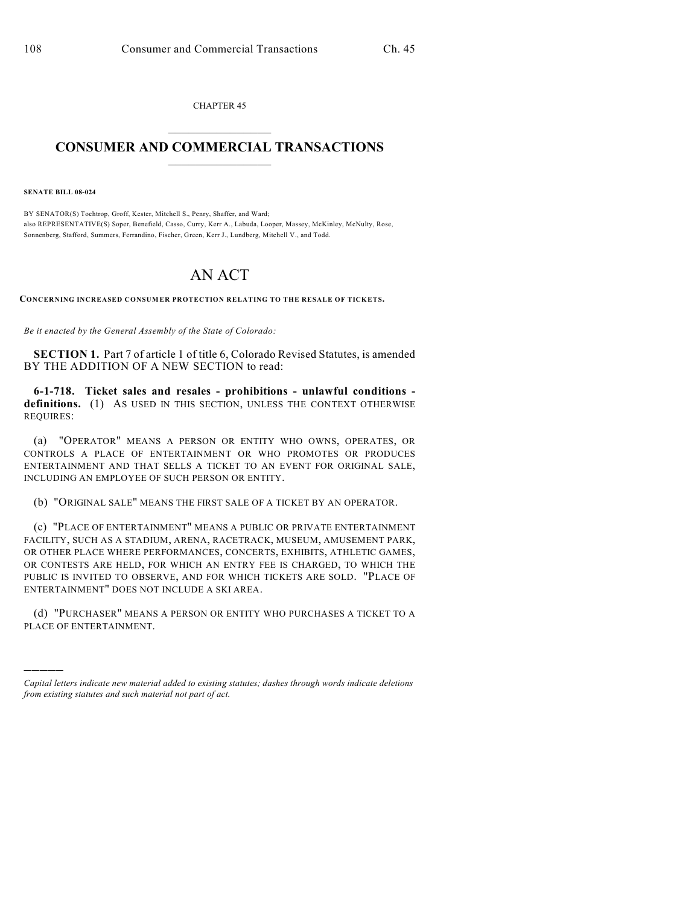CHAPTER 45  $\mathcal{L}_\text{max}$  . The set of the set of the set of the set of the set of the set of the set of the set of the set of the set of the set of the set of the set of the set of the set of the set of the set of the set of the set

## **CONSUMER AND COMMERCIAL TRANSACTIONS**  $\frac{1}{2}$  ,  $\frac{1}{2}$  ,  $\frac{1}{2}$  ,  $\frac{1}{2}$  ,  $\frac{1}{2}$  ,  $\frac{1}{2}$

**SENATE BILL 08-024**

)))))

BY SENATOR(S) Tochtrop, Groff, Kester, Mitchell S., Penry, Shaffer, and Ward; also REPRESENTATIVE(S) Soper, Benefield, Casso, Curry, Kerr A., Labuda, Looper, Massey, McKinley, McNulty, Rose, Sonnenberg, Stafford, Summers, Ferrandino, Fischer, Green, Kerr J., Lundberg, Mitchell V., and Todd.

## AN ACT

**CONCERNING INCREASED CONSUMER PROTECTION RELATING TO THE RESALE OF TICKETS.**

*Be it enacted by the General Assembly of the State of Colorado:*

**SECTION 1.** Part 7 of article 1 of title 6, Colorado Revised Statutes, is amended BY THE ADDITION OF A NEW SECTION to read:

**6-1-718. Ticket sales and resales - prohibitions - unlawful conditions**  definitions. (1) AS USED IN THIS SECTION, UNLESS THE CONTEXT OTHERWISE REQUIRES:

(a) "OPERATOR" MEANS A PERSON OR ENTITY WHO OWNS, OPERATES, OR CONTROLS A PLACE OF ENTERTAINMENT OR WHO PROMOTES OR PRODUCES ENTERTAINMENT AND THAT SELLS A TICKET TO AN EVENT FOR ORIGINAL SALE, INCLUDING AN EMPLOYEE OF SUCH PERSON OR ENTITY.

(b) "ORIGINAL SALE" MEANS THE FIRST SALE OF A TICKET BY AN OPERATOR.

(c) "PLACE OF ENTERTAINMENT" MEANS A PUBLIC OR PRIVATE ENTERTAINMENT FACILITY, SUCH AS A STADIUM, ARENA, RACETRACK, MUSEUM, AMUSEMENT PARK, OR OTHER PLACE WHERE PERFORMANCES, CONCERTS, EXHIBITS, ATHLETIC GAMES, OR CONTESTS ARE HELD, FOR WHICH AN ENTRY FEE IS CHARGED, TO WHICH THE PUBLIC IS INVITED TO OBSERVE, AND FOR WHICH TICKETS ARE SOLD. "PLACE OF ENTERTAINMENT" DOES NOT INCLUDE A SKI AREA.

(d) "PURCHASER" MEANS A PERSON OR ENTITY WHO PURCHASES A TICKET TO A PLACE OF ENTERTAINMENT.

*Capital letters indicate new material added to existing statutes; dashes through words indicate deletions from existing statutes and such material not part of act.*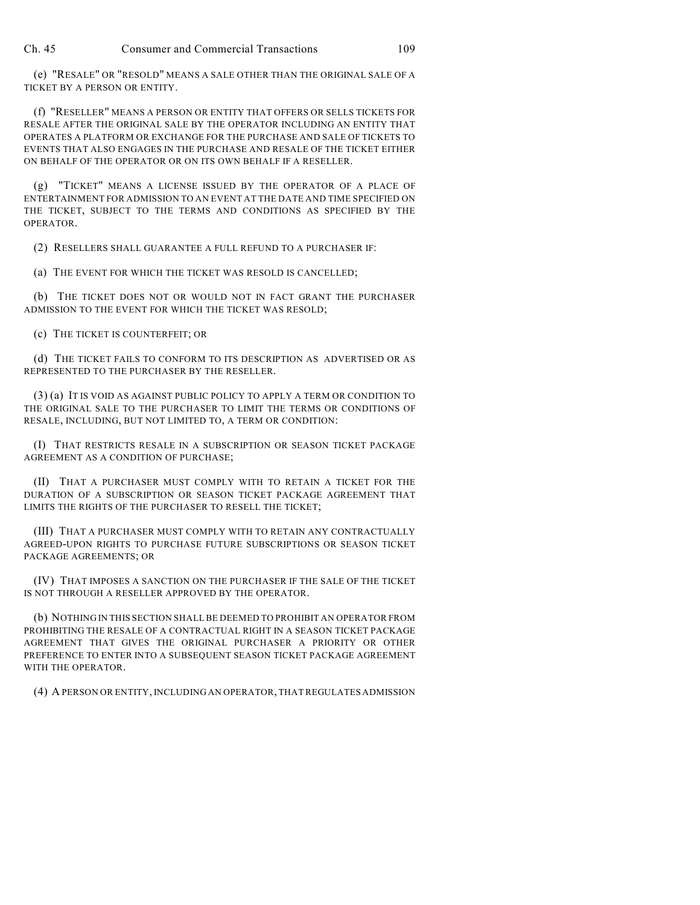(e) "RESALE" OR "RESOLD" MEANS A SALE OTHER THAN THE ORIGINAL SALE OF A TICKET BY A PERSON OR ENTITY.

(f) "RESELLER" MEANS A PERSON OR ENTITY THAT OFFERS OR SELLS TICKETS FOR RESALE AFTER THE ORIGINAL SALE BY THE OPERATOR INCLUDING AN ENTITY THAT OPERATES A PLATFORM OR EXCHANGE FOR THE PURCHASE AND SALE OF TICKETS TO EVENTS THAT ALSO ENGAGES IN THE PURCHASE AND RESALE OF THE TICKET EITHER ON BEHALF OF THE OPERATOR OR ON ITS OWN BEHALF IF A RESELLER.

(g) "TICKET" MEANS A LICENSE ISSUED BY THE OPERATOR OF A PLACE OF ENTERTAINMENT FOR ADMISSION TO AN EVENT AT THE DATE AND TIME SPECIFIED ON THE TICKET, SUBJECT TO THE TERMS AND CONDITIONS AS SPECIFIED BY THE OPERATOR.

(2) RESELLERS SHALL GUARANTEE A FULL REFUND TO A PURCHASER IF:

(a) THE EVENT FOR WHICH THE TICKET WAS RESOLD IS CANCELLED;

(b) THE TICKET DOES NOT OR WOULD NOT IN FACT GRANT THE PURCHASER ADMISSION TO THE EVENT FOR WHICH THE TICKET WAS RESOLD;

(c) THE TICKET IS COUNTERFEIT; OR

(d) THE TICKET FAILS TO CONFORM TO ITS DESCRIPTION AS ADVERTISED OR AS REPRESENTED TO THE PURCHASER BY THE RESELLER.

(3) (a) IT IS VOID AS AGAINST PUBLIC POLICY TO APPLY A TERM OR CONDITION TO THE ORIGINAL SALE TO THE PURCHASER TO LIMIT THE TERMS OR CONDITIONS OF RESALE, INCLUDING, BUT NOT LIMITED TO, A TERM OR CONDITION:

(I) THAT RESTRICTS RESALE IN A SUBSCRIPTION OR SEASON TICKET PACKAGE AGREEMENT AS A CONDITION OF PURCHASE;

(II) THAT A PURCHASER MUST COMPLY WITH TO RETAIN A TICKET FOR THE DURATION OF A SUBSCRIPTION OR SEASON TICKET PACKAGE AGREEMENT THAT LIMITS THE RIGHTS OF THE PURCHASER TO RESELL THE TICKET;

(III) THAT A PURCHASER MUST COMPLY WITH TO RETAIN ANY CONTRACTUALLY AGREED-UPON RIGHTS TO PURCHASE FUTURE SUBSCRIPTIONS OR SEASON TICKET PACKAGE AGREEMENTS; OR

(IV) THAT IMPOSES A SANCTION ON THE PURCHASER IF THE SALE OF THE TICKET IS NOT THROUGH A RESELLER APPROVED BY THE OPERATOR.

(b) NOTHING IN THIS SECTION SHALL BE DEEMED TO PROHIBIT AN OPERATOR FROM PROHIBITING THE RESALE OF A CONTRACTUAL RIGHT IN A SEASON TICKET PACKAGE AGREEMENT THAT GIVES THE ORIGINAL PURCHASER A PRIORITY OR OTHER PREFERENCE TO ENTER INTO A SUBSEQUENT SEASON TICKET PACKAGE AGREEMENT WITH THE OPERATOR.

(4) A PERSON OR ENTITY, INCLUDING AN OPERATOR, THAT REGULATES ADMISSION